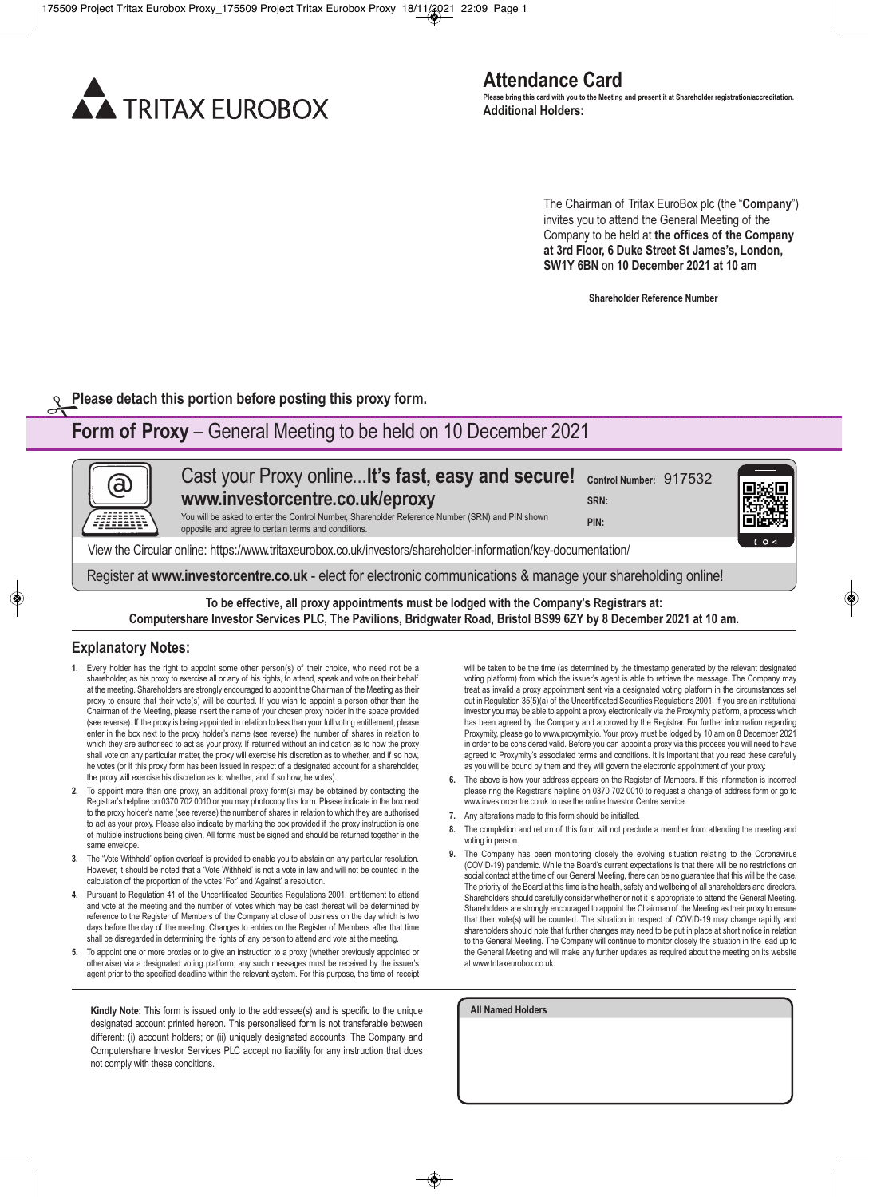

The Chairman of Tritax EuroBox plc (the "**Company**") invites you to attend the General Meeting of the Company to be held at **the offices of the Company at 3rd Floor, 6 Duke Street St James's, London, SW1Y 6BN** on **10 December 2021 at 10 am**

**Shareholder Reference Number**

**Please detach this portion before posting this proxy form.** 

# **Form of Proxy** – General Meeting to be held on 10 December 2021

Cast your Proxy online...**lt's fast, easy and secure! Control Number:** 917532 (a) **www.investorcentre.co.uk/eproxy SRN:**  You will be asked to enter the Control Number, Shareholder Reference Number (SRN) and PIN shown **PIN:** opposite and agree to certain terms and conditions. View the Circular online: https://www.tritaxeurobox.co.uk/investors/shareholder-information/key-documentation/ Register at **www.investorcentre.co.uk** - elect for electronic communications & manage your shareholding online!

**To be effective, all proxy appointments must be lodged with the Company's Registrars at: Computershare Investor Services PLC, The Pavilions, Bridgwater Road, Bristol BS99 6ZY by 8 December 2021 at 10 am.**

### **Explanatory Notes:**

- **1.** Every holder has the right to appoint some other person(s) of their choice, who need not be a shareholder, as his proxy to exercise all or any of his rights, to attend, speak and vote on their behalf at the meeting. Shareholders are strongly encouraged to appoint the Chairman of the Meeting as their proxy to ensure that their vote(s) will be counted. If you wish to appoint a person other than the Chairman of the Meeting, please insert the name of your chosen proxy holder in the space provided (see reverse). If the proxy is being appointed in relation to less than your full voting entitlement, please enter in the box next to the proxy holder's name (see reverse) the number of shares in relation to which they are authorised to act as your proxy. If returned without an indication as to how the proxy shall vote on any particular matter, the proxy will exercise his discretion as to whether, and if so how, he votes (or if this proxy form has been issued in respect of a designated account for a shareholder, the proxy will exercise his discretion as to whether, and if so how, he votes).
- **2.** To appoint more than one proxy, an additional proxy form(s) may be obtained by contacting the Registrar's helpline on 0370 702 0010 or you may photocopy this form. Please indicate in the box next to the proxy holder's name (see reverse) the number of shares in relation to which they are authorised to act as your proxy. Please also indicate by marking the box provided if the proxy instruction is one of multiple instructions being given. All forms must be signed and should be returned together in the same envelope.
- **3.** The 'Vote Withheld' option overleaf is provided to enable you to abstain on any particular resolution. However, it should be noted that a 'Vote Withheld' is not a vote in law and will not be counted in the calculation of the proportion of the votes 'For' and 'Against' a resolution.
- **4.** Pursuant to Regulation 41 of the Uncertificated Securities Regulations 2001, entitlement to attend and vote at the meeting and the number of votes which may be cast thereat will be determined by reference to the Register of Members of the Company at close of business on the day which is two days before the day of the meeting. Changes to entries on the Register of Members after that time shall be disregarded in determining the rights of any person to attend and vote at the meeting.
- **5.** To appoint one or more proxies or to give an instruction to a proxy (whether previously appointed or otherwise) via a designated voting platform, any such messages must be received by the issuer's agent prior to the specified deadline within the relevant system. For this purpose, the time of receipt

**Kindly Note:** This form is issued only to the addressee(s) and is specific to the unique designated account printed hereon. This personalised form is not transferable between different: (i) account holders; or (ii) uniquely designated accounts. The Company and Computershare Investor Services PLC accept no liability for any instruction that does not comply with these conditions.

will be taken to be the time (as determined by the timestamp generated by the relevant designated voting platform) from which the issuer's agent is able to retrieve the message. The Company may treat as invalid a proxy appointment sent via a designated voting platform in the circumstances set out in Regulation 35(5)(a) of the Uncertificated Securities Regulations 2001. If you are an institutional investor you may be able to appoint a proxy electronically via the Proxymity platform, a process which has been agreed by the Company and approved by the Registrar. For further information regarding Proxymity, please go to www.proxymity.io. Your proxy must be lodged by 10 am on 8 December 2021 in order to be considered valid. Before you can appoint a proxy via this process you will need to have agreed to Proxymity's associated terms and conditions. It is important that you read these carefully as you will be bound by them and they will govern the electronic appointment of your proxy.

- **6.** The above is how your address appears on the Register of Members. If this information is incorrect please ring the Registrar's helpline on 0370 702 0010 to request a change of address form or go to www.investorcentre.co.uk to use the online Investor Centre service.
- **7.** Any alterations made to this form should be initialled.
- **8.** The completion and return of this form will not preclude a member from attending the meeting and voting in person.
- **9.** The Company has been monitoring closely the evolving situation relating to the Coronavirus (COVID-19) pandemic. While the Board's current expectations is that there will be no restrictions on social contact at the time of our General Meeting, there can be no guarantee that this will be the case. The priority of the Board at this time is the health, safety and wellbeing of all shareholders and directors. Shareholders should carefully consider whether or not it is appropriate to attend the General Meeting. Shareholders are strongly encouraged to appoint the Chairman of the Meeting as their proxy to ensure that their vote(s) will be counted. The situation in respect of COVID-19 may change rapidly and shareholders should note that further changes may need to be put in place at short notice in relation to the General Meeting. The Company will continue to monitor closely the situation in the lead up to the General Meeting and will make any further updates as required about the meeting on its website at www.tritaxeurobox.co.uk.

**All Named Holders**